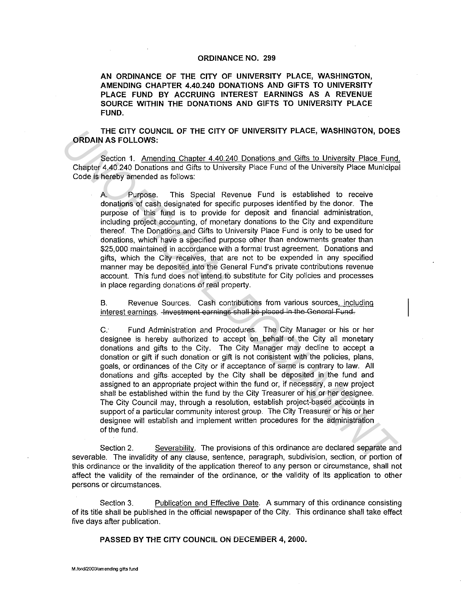## ORDINANCE NO. 299

AN ORDINANCE OF THE CITY OF UNIVERSITY PLACE, WASHINGTON, AMENDING CHAPTER 4.40.240 DONATIONS AND GIFTS TO UNIVERSITY PLACE FUND BY ACCRUING INTEREST EARNINGS AS A REVENUE SOURCE WITHIN THE DONATIONS AND GIFTS TO UNIVERSITY PLACE FUND.

THE CITY COUNCIL OF THE CITY OF UNIVERSITY PLACE, WASHINGTON, DOES ORDAIN AS FOLLOWS:

Section 1. Amending Chapter 4.40.240 Donations and Gifts to University Place Fund. Chapter 4.40.240 Donations and Gifts to University Place Fund of the University Place Municipal Code is hereby amended as follows:

A. Purpose. This Special Revenue Fund is established to receive donations of cash designated for specific purposes identified by the donor. The purpose of this fund is to provide for deposit and financial administration, including project accounting, of monetary donations to the City and expenditure thereof. The Donations and Gifts to University Place Fund is only to be used for donations, which have a specified purpose other than endowments greater than \$25, 000 maintained in accordance with a formal trust agreement. Donations and gifts, which the City receives, that are not to be expended in any specified manner may be deposited into the General Fund's private contributions revenue account. This fund does not intend to substitute for City policies and processes in place regarding donations of real property.

B. Revenue Sources. Cash contributions from various sources, including interest earnings. - Investment earnings shall be placed in the General Fund.

*C:* Fund Administration and Procedures. The City Manager or his or her designee is hereby authorized to accept on behalf of the City all monetary donations and gifts to the City. The City Manager may decline to accept a donation or gift if such donation or gift is not consistent with the policies, plans, goals, or ordinances of the City or if acceptance of same is contrary to law. All donations and gifts. accepted by the City shall be deposited in the fund and assigned to an appropriate project within the fund or, if necessary, a new project shall be established within the fund by the City Treasurer or his or her designee. The City Council may, through a resolution, establish project-based accounts in support of a particular community interest group. The City Treasurer or his or her designee will establish and implement written procedures for the administration of the fund. THE CITY OF UNIVERSITY PLACE, WASHINGTON, DOES<br>
ORDAIN AS FOLLOWS:<br>
Section 1. Amending Chapter 4.40.240 Donstions and Gifts to University Place Fund<br>
Chapter 4.40.240 Donstions and Gifts to University Place Fund<br>
Chapter

Section 2. Severability. The provisions of this ordinance are declared separate and severable. The invalidity of any clause, sentence, paragraph, subdivision, section, or portion of this ordinance or the invalidity of the application thereof to any person or circumstance, shall not affect the validity of the remainder of the ordinance, or the validity of its application to other persons or circumstances.

Section 3. Publication and Effective Date. A summary of this ordinance consisting of its title shall be published in the official newspaper of the City. This ordinance shall take effect five days after publication.

PASSED BY THE CITY COUNCIL ON DECEMBER 4, 2000.